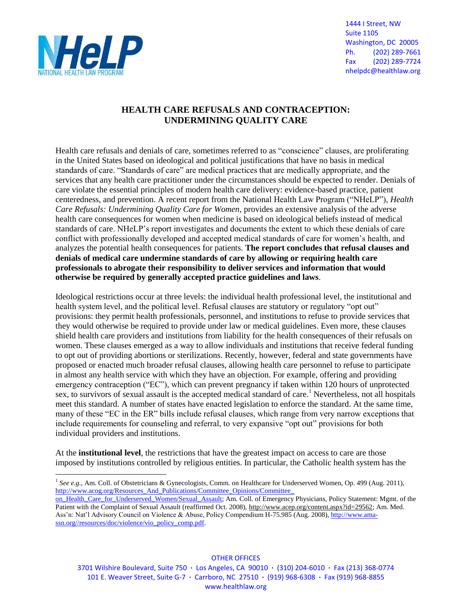

1444 I Street, NW Suite 1105 Washington, DC 20005 Ph. (202) 289-7661 Fax (202) 289-7724 nhelpdc@healthlaw.org

## **HEALTH CARE REFUSALS AND CONTRACEPTION: UNDERMINING QUALITY CARE**

Health care refusals and denials of care, sometimes referred to as "conscience" clauses, are proliferating in the United States based on ideological and political justifications that have no basis in medical standards of care. "Standards of care" are medical practices that are medically appropriate, and the services that any health care practitioner under the circumstances should be expected to render. Denials of care violate the essential principles of modern health care delivery: evidence-based practice, patient centeredness, and prevention. A recent report from the National Health Law Program ("NHeLP"), *Health Care Refusals: Undermining Quality Care for Women*, provides an extensive analysis of the adverse health care consequences for women when medicine is based on ideological beliefs instead of medical standards of care. NHeLP's report investigates and documents the extent to which these denials of care conflict with professionally developed and accepted medical standards of care for women's health, and analyzes the potential health consequences for patients. **The report concludes that refusal clauses and denials of medical care undermine standards of care by allowing or requiring health care professionals to abrogate their responsibility to deliver services and information that would otherwise be required by generally accepted practice guidelines and laws**.

Ideological restrictions occur at three levels: the individual health professional level, the institutional and health system level, and the political level. Refusal clauses are statutory or regulatory "opt out" provisions: they permit health professionals, personnel, and institutions to refuse to provide services that they would otherwise be required to provide under law or medical guidelines. Even more, these clauses shield health care providers and institutions from liability for the health consequences of their refusals on women. These clauses emerged as a way to allow individuals and institutions that receive federal funding to opt out of providing abortions or sterilizations. Recently, however, federal and state governments have proposed or enacted much broader refusal clauses, allowing health care personnel to refuse to participate in almost any health service with which they have an objection. For example, offering and providing emergency contraception ("EC"), which can prevent pregnancy if taken within 120 hours of unprotected sex, to survivors of sexual assault is the accepted medical standard of care.<sup>1</sup> Nevertheless, not all hospitals meet this standard. A number of states have enacted legislation to enforce the standard. At the same time, many of these "EC in the ER" bills include refusal clauses, which range from very narrow exceptions that include requirements for counseling and referral, to very expansive "opt out" provisions for both individual providers and institutions.

At the **institutional level**, the restrictions that have the greatest impact on access to care are those imposed by institutions controlled by religious entities. In particular, the Catholic health system has the

OTHER OFFICES

3701 Wilshire Boulevard, Suite 750 **·** Los Angeles, CA 90010 **·** (310) 204-6010 **·** Fax (213) 368-0774 101 E. Weaver Street, Suite G-7 **·** Carrboro, NC 27510 **·** (919) 968-6308 **·** Fax (919) 968-8855 www.healthlaw.org

 $\overline{a}$ <sup>1</sup> See e.g., Am. Coll. of Obstetricians & Gynecologists, Comm. on Healthcare for Underserved Women, Op. 499 (Aug. 2011), http://www.acog.org/Resources\_And\_Publications/Committee\_Opinions/Committee\_

[on\\_Health\\_Care\\_for\\_Underserved\\_Women/Sexual\\_Assault;](http://www.acog.org/Resources_And_Publications/Committee_Opinions/Committee_%20on_Health_Care_for_Underserved_Women/Sexual_Assault) Am. Coll. of Emergency Physicians, Policy Statement: Mgmt. of the Patient with the Complaint of Sexual Assault (reaffirmed Oct. 2008), [http://www.acep.org/content.aspx?id=29562;](http://www.acep.org/content.aspx?id=29562) Am. Med. Ass'n: Nat'l Advisory Council on Violence & Abuse, Policy Compendium H-75.985 (Aug. 2008)[, http://www.ama](http://www.ama-ssn.org/resources/doc/violence/vio_policy_comp.pdf)[ssn.org//resources/doc/violence/vio\\_policy\\_comp.pdf.](http://www.ama-ssn.org/resources/doc/violence/vio_policy_comp.pdf)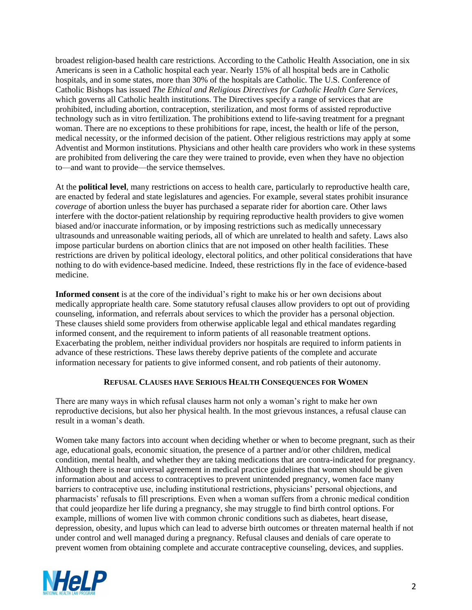broadest religion-based health care restrictions. According to the Catholic Health Association, one in six Americans is seen in a Catholic hospital each year. Nearly 15% of all hospital beds are in Catholic hospitals, and in some states, more than 30% of the hospitals are Catholic. The U.S. Conference of Catholic Bishops has issued *The Ethical and Religious Directives for Catholic Health Care Services,* which governs all Catholic health institutions. The Directives specify a range of services that are prohibited, including abortion, contraception, sterilization, and most forms of assisted reproductive technology such as in vitro fertilization. The prohibitions extend to life-saving treatment for a pregnant woman. There are no exceptions to these prohibitions for rape, incest, the health or life of the person, medical necessity, or the informed decision of the patient. Other religious restrictions may apply at some Adventist and Mormon institutions. Physicians and other health care providers who work in these systems are prohibited from delivering the care they were trained to provide, even when they have no objection to—and want to provide—the service themselves.

At the **political level**, many restrictions on access to health care, particularly to reproductive health care, are enacted by federal and state legislatures and agencies. For example, several states prohibit insurance *coverage* of abortion unless the buyer has purchased a separate rider for abortion care. Other laws interfere with the doctor-patient relationship by requiring reproductive health providers to give women biased and/or inaccurate information, or by imposing restrictions such as medically unnecessary ultrasounds and unreasonable waiting periods, all of which are unrelated to health and safety. Laws also impose particular burdens on abortion clinics that are not imposed on other health facilities. These restrictions are driven by political ideology, electoral politics, and other political considerations that have nothing to do with evidence-based medicine. Indeed, these restrictions fly in the face of evidence-based medicine.

**Informed consent** is at the core of the individual's right to make his or her own decisions about medically appropriate health care. Some statutory refusal clauses allow providers to opt out of providing counseling, information, and referrals about services to which the provider has a personal objection. These clauses shield some providers from otherwise applicable legal and ethical mandates regarding informed consent, and the requirement to inform patients of all reasonable treatment options. Exacerbating the problem, neither individual providers nor hospitals are required to inform patients in advance of these restrictions. These laws thereby deprive patients of the complete and accurate information necessary for patients to give informed consent, and rob patients of their autonomy.

## **REFUSAL CLAUSES HAVE SERIOUS HEALTH CONSEQUENCES FOR WOMEN**

There are many ways in which refusal clauses harm not only a woman's right to make her own reproductive decisions, but also her physical health. In the most grievous instances, a refusal clause can result in a woman's death.

Women take many factors into account when deciding whether or when to become pregnant, such as their age, educational goals, economic situation, the presence of a partner and/or other children, medical condition, mental health, and whether they are taking medications that are contra-indicated for pregnancy. Although there is near universal agreement in medical practice guidelines that women should be given information about and access to contraceptives to prevent unintended pregnancy, women face many barriers to contraceptive use, including institutional restrictions, physicians' personal objections, and pharmacists' refusals to fill prescriptions. Even when a woman suffers from a chronic medical condition that could jeopardize her life during a pregnancy, she may struggle to find birth control options. For example, millions of women live with common chronic conditions such as diabetes, heart disease, depression, obesity, and lupus which can lead to adverse birth outcomes or threaten maternal health if not under control and well managed during a pregnancy. Refusal clauses and denials of care operate to prevent women from obtaining complete and accurate contraceptive counseling, devices, and supplies.

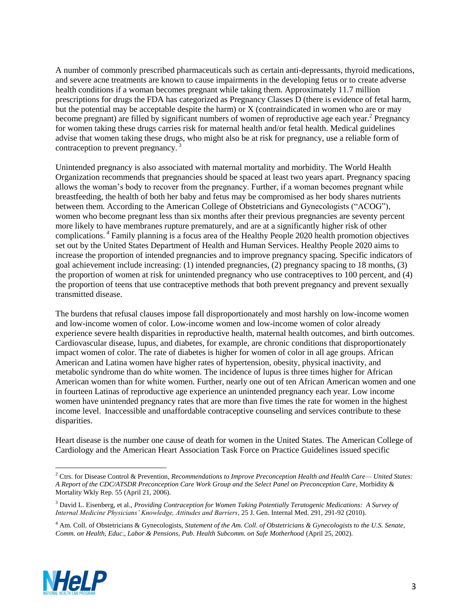A number of commonly prescribed pharmaceuticals such as certain anti-depressants, thyroid medications, and severe acne treatments are known to cause impairments in the developing fetus or to create adverse health conditions if a woman becomes pregnant while taking them. Approximately 11.7 million prescriptions for drugs the FDA has categorized as Pregnancy Classes D (there is evidence of fetal harm, but the potential may be acceptable despite the harm) or X (contraindicated in women who are or may become pregnant) are filled by significant numbers of women of reproductive age each year.<sup>2</sup> Pregnancy for women taking these drugs carries risk for maternal health and/or fetal health. Medical guidelines advise that women taking these drugs, who might also be at risk for pregnancy, use a reliable form of contraception to prevent pregnancy.<sup>3</sup>

Unintended pregnancy is also associated with maternal mortality and morbidity. The World Health Organization recommends that pregnancies should be spaced at least two years apart. Pregnancy spacing allows the woman's body to recover from the pregnancy. Further, if a woman becomes pregnant while breastfeeding, the health of both her baby and fetus may be compromised as her body shares nutrients between them. According to the American College of Obstetricians and Gynecologists ("ACOG"), women who become pregnant less than six months after their previous pregnancies are seventy percent more likely to have membranes rupture prematurely, and are at a significantly higher risk of other complications. <sup>4</sup> Family planning is a focus area of the Healthy People 2020 health promotion objectives set out by the United States Department of Health and Human Services. Healthy People 2020 aims to increase the proportion of intended pregnancies and to improve pregnancy spacing. Specific indicators of goal achievement include increasing: (1) intended pregnancies, (2) pregnancy spacing to 18 months, (3) the proportion of women at risk for unintended pregnancy who use contraceptives to 100 percent, and (4) the proportion of teens that use contraceptive methods that both prevent pregnancy and prevent sexually transmitted disease.

The burdens that refusal clauses impose fall disproportionately and most harshly on low-income women and low-income women of color. Low-income women and low-income women of color already experience severe health disparities in reproductive health, maternal health outcomes, and birth outcomes. Cardiovascular disease, lupus, and diabetes, for example, are chronic conditions that disproportionately impact women of color. The rate of diabetes is higher for women of color in all age groups. African American and Latina women have higher rates of hypertension, obesity, physical inactivity, and metabolic syndrome than do white women. The incidence of lupus is three times higher for African American women than for white women. Further, nearly one out of ten African American women and one in fourteen Latinas of reproductive age experience an unintended pregnancy each year. Low income women have unintended pregnancy rates that are more than five times the rate for women in the highest income level. Inaccessible and unaffordable contraceptive counseling and services contribute to these disparities.

Heart disease is the number one cause of death for women in the United States. The American College of Cardiology and the American Heart Association Task Force on Practice Guidelines issued specific

<sup>4</sup> Am. Coll. of Obstetricians & Gynecologists, *Statement of the Am. Coll. of Obstetricians & Gynecologists to the U.S. Senate, Comm. on Health, Educ., Labor & Pensions, Pub. Health Subcomm. on Safe Motherhood* (April 25, 2002).



 $\overline{a}$ 

<sup>2</sup> Ctrs. for Disease Control & Prevention, *Recommendations to Improve Preconception Health and Health Care— United States: A Report of the CDC/ATSDR Preconception Care Work Group and the Select Panel on Preconception Care*, Morbidity & Mortality Wkly Rep. 55 (April 21, 2006).

<sup>3</sup> David L. Eisenberg, et al., *Providing Contraception for Women Taking Potentially Teratogenic Medications: A Survey of Internal Medicine Physicians' Knowledge, Attitudes and Barriers*, 25 J. Gen. Internal Med. 291, 291-92 (2010).